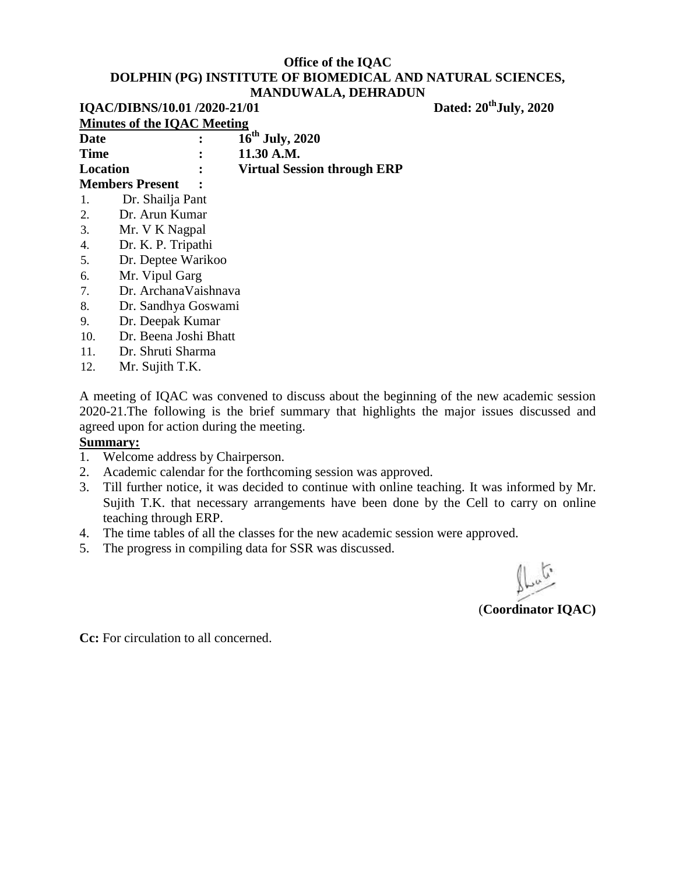| IQAC/DIBNS/10.01 /2020-21/01 |                                    |                                    | Dated: 20 <sup>th</sup> July, 2020 |  |
|------------------------------|------------------------------------|------------------------------------|------------------------------------|--|
|                              | <b>Minutes of the IQAC Meeting</b> |                                    |                                    |  |
| <b>Date</b>                  |                                    | $16^{th}$ July, 2020               |                                    |  |
| <b>Time</b>                  |                                    | 11.30 A.M.                         |                                    |  |
| Location                     |                                    | <b>Virtual Session through ERP</b> |                                    |  |
|                              | <b>Members Present</b>             |                                    |                                    |  |
| 1.                           | Dr. Shailja Pant                   |                                    |                                    |  |
| 2.                           | Dr. Arun Kumar                     |                                    |                                    |  |
| 3.                           | Mr. V K Nagpal                     |                                    |                                    |  |
| 4.                           | Dr. K. P. Tripathi                 |                                    |                                    |  |
| 5.                           | Dr. Deptee Warikoo                 |                                    |                                    |  |
| 6.                           | Mr. Vipul Garg                     |                                    |                                    |  |
| 7.                           | Dr. ArchanaVaishnava               |                                    |                                    |  |
| 8.                           | Dr. Sandhya Goswami                |                                    |                                    |  |
| 9.                           | Dr. Deepak Kumar                   |                                    |                                    |  |
| 10.                          | Dr. Beena Joshi Bhatt              |                                    |                                    |  |

- 11. Dr. Shruti Sharma
- 12. Mr. Sujith T.K.

A meeting of IQAC was convened to discuss about the beginning of the new academic session 2020-21.The following is the brief summary that highlights the major issues discussed and agreed upon for action during the meeting.

#### **Summary:**

- 1. Welcome address by Chairperson.
- 2. Academic calendar for the forthcoming session was approved.
- 3. Till further notice, it was decided to continue with online teaching. It was informed by Mr. Sujith T.K. that necessary arrangements have been done by the Cell to carry on online teaching through ERP.
- 4. The time tables of all the classes for the new academic session were approved.
- 5. The progress in compiling data for SSR was discussed.

(**Coordinator IQAC)**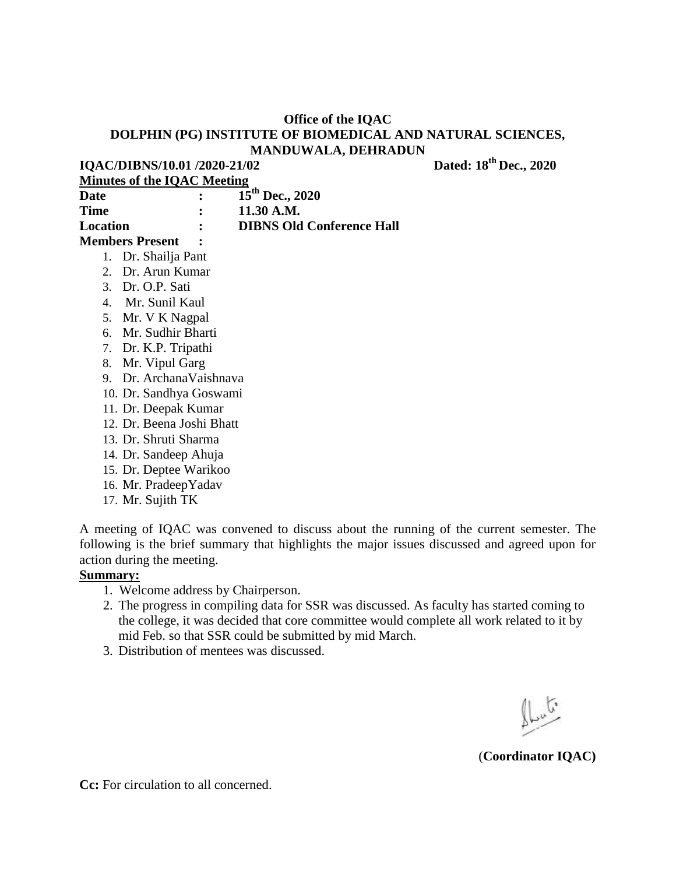**IQAC/DIBNS/10.01 /2020-21/02** Dated: 18<sup>th</sup> Dec., 2020

**Minutes of the IQAC Meeting**

| Date                   | $\mathbf{L}$ | $15^{th}$ Dec., 2020             |
|------------------------|--------------|----------------------------------|
| Time                   |              | 11.30 A.M.                       |
| Location               |              | <b>DIBNS Old Conference Hall</b> |
| <b>Members Present</b> |              |                                  |
| 1. Dr. Shailja Pant    |              |                                  |
|                        |              |                                  |

- 2. Dr. Arun Kumar
- 3. Dr. O.P. Sati
- 4. Mr. Sunil Kaul
- 5. Mr. V K Nagpal
- 6. Mr. Sudhir Bharti
- 7. Dr. K.P. Tripathi
- 8. Mr. Vipul Garg
- 9. Dr. ArchanaVaishnava
- 10. Dr. Sandhya Goswami
- 11. Dr. Deepak Kumar
- 12. Dr. Beena Joshi Bhatt
- 13. Dr. Shruti Sharma
- 14. Dr. Sandeep Ahuja
- 15. Dr. Deptee Warikoo
- 16. Mr. PradeepYadav
- 17. Mr. Sujith TK

A meeting of IQAC was convened to discuss about the running of the current semester. The following is the brief summary that highlights the major issues discussed and agreed upon for action during the meeting.

#### **Summary:**

- 1. Welcome address by Chairperson.
- 2. The progress in compiling data for SSR was discussed. As faculty has started coming to the college, it was decided that core committee would complete all work related to it by mid Feb. so that SSR could be submitted by mid March.
- 3. Distribution of mentees was discussed.

 $\mathbb{L}^{\mathfrak{c}}$ 

(**Coordinator IQAC)**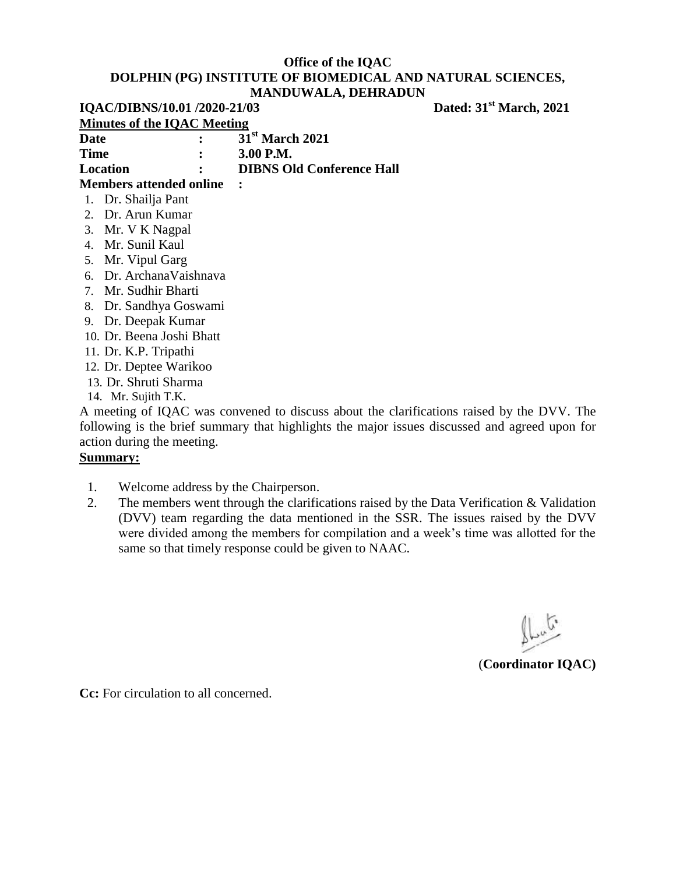| IQAC/DIBNS/10.01 /2020-21/03 |                                    |                                  | Dated: 31 <sup>st</sup> March, 2021 |  |
|------------------------------|------------------------------------|----------------------------------|-------------------------------------|--|
|                              | <b>Minutes of the IQAC Meeting</b> |                                  |                                     |  |
| <b>Date</b>                  |                                    | 31 <sup>st</sup> March 2021      |                                     |  |
| <b>Time</b>                  | $\ddot{\cdot}$                     | 3.00 P.M.                        |                                     |  |
| Location                     |                                    | <b>DIBNS Old Conference Hall</b> |                                     |  |
|                              | <b>Members attended online</b>     |                                  |                                     |  |
|                              | 1. Dr. Shailja Pant                |                                  |                                     |  |
|                              | 2. Dr. Arun Kumar                  |                                  |                                     |  |
|                              | 3. Mr. V K Nagpal                  |                                  |                                     |  |
|                              | 4. Mr. Sunil Kaul                  |                                  |                                     |  |
|                              | 5. Mr. Vipul Garg                  |                                  |                                     |  |
|                              | 6. Dr. Archana Vaishnava           |                                  |                                     |  |
|                              | 7. Mr. Sudhir Bharti               |                                  |                                     |  |
|                              | 8. Dr. Sandhya Goswami             |                                  |                                     |  |
| 9.                           | Dr. Deepak Kumar                   |                                  |                                     |  |
|                              | 10. Dr. Beena Joshi Bhatt          |                                  |                                     |  |

- 11. Dr. K.P. Tripathi
- 12. Dr. Deptee Warikoo
- 13. Dr. Shruti Sharma
- 14. Mr. Sujith T.K.

A meeting of IQAC was convened to discuss about the clarifications raised by the DVV. The following is the brief summary that highlights the major issues discussed and agreed upon for action during the meeting.

#### **Summary:**

- 1. Welcome address by the Chairperson.
- 2. The members went through the clarifications raised by the Data Verification & Validation (DVV) team regarding the data mentioned in the SSR. The issues raised by the DVV were divided among the members for compilation and a week's time was allotted for the same so that timely response could be given to NAAC.

فبمكيه

(**Coordinator IQAC)**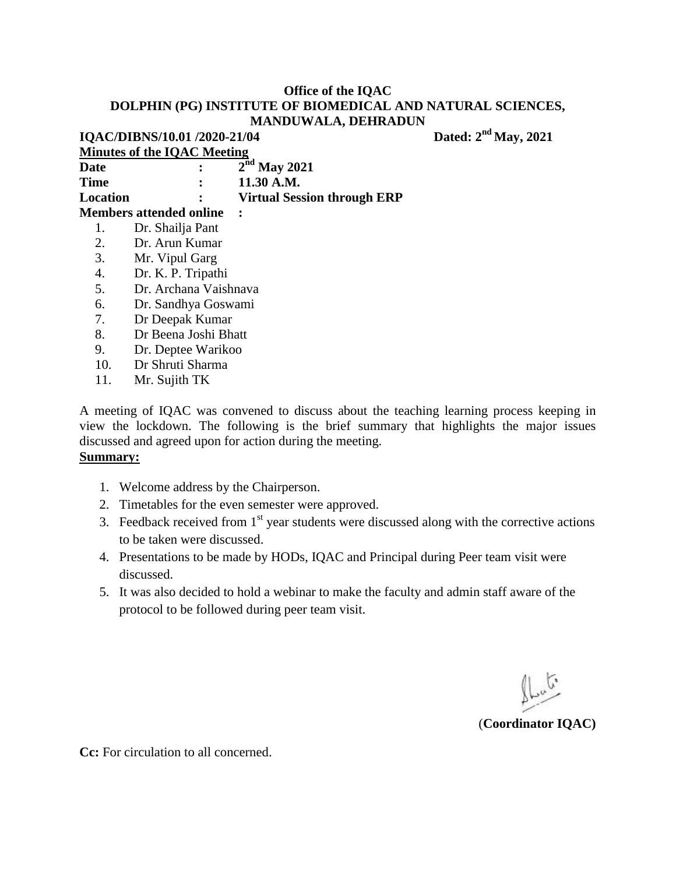|          | IQAC/DIBNS/10.01 /2020-21/04       |                                    |  |
|----------|------------------------------------|------------------------------------|--|
|          | <b>Minutes of the IQAC Meeting</b> |                                    |  |
| Date     |                                    | $2nd$ May 2021                     |  |
| Time     |                                    | 11.30 A.M.                         |  |
| Location |                                    | <b>Virtual Session through ERP</b> |  |
|          | <b>Members attended online</b>     |                                    |  |
| 1.       | Dr. Shailja Pant                   |                                    |  |
| 2.       | Dr. Arun Kumar                     |                                    |  |
| 3.       | Mr. Vipul Garg                     |                                    |  |
| 4.       | Dr. K. P. Tripathi                 |                                    |  |
| 5.       | Dr. Archana Vaishnava              |                                    |  |
| 6.       | Dr. Sandhya Goswami                |                                    |  |
| 7.       | Dr Deepak Kumar                    |                                    |  |
| 8.       | Dr Beena Joshi Bhatt               |                                    |  |
| 9.       | Dr. Deptee Warikoo                 |                                    |  |

- 10. Dr Shruti Sharma
- 11. Mr. Sujith TK

A meeting of IQAC was convened to discuss about the teaching learning process keeping in view the lockdown. The following is the brief summary that highlights the major issues discussed and agreed upon for action during the meeting.

#### **Summary:**

- 1. Welcome address by the Chairperson.
- 2. Timetables for the even semester were approved.
- 3. Feedback received from  $1<sup>st</sup>$  year students were discussed along with the corrective actions to be taken were discussed.
- 4. Presentations to be made by HODs, IQAC and Principal during Peer team visit were discussed.
- 5. It was also decided to hold a webinar to make the faculty and admin staff aware of the protocol to be followed during peer team visit.

 $\mathbb{R}$ 

(**Coordinator IQAC)**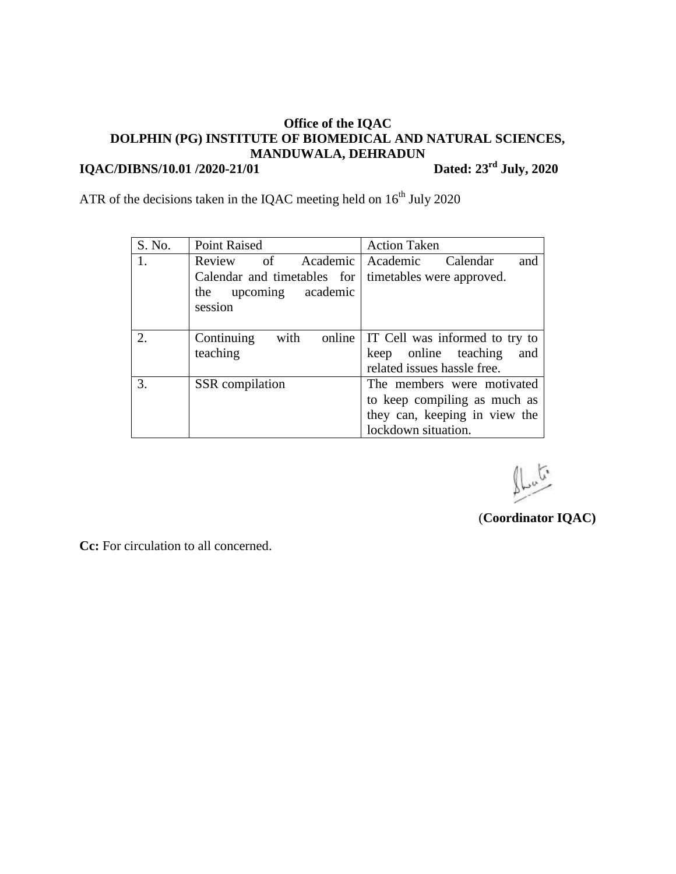#### **Office of the IQAC DOLPHIN (PG) INSTITUTE OF BIOMEDICAL AND NATURAL SCIENCES, MANDUWALA, DEHRADUN IQAC/DIBNS/10.01 /2020-21/01** Dated:  $23^{\text{rd}}$  July, 2020

ATR of the decisions taken in the IQAC meeting held on  $16<sup>th</sup>$  July 2020

| S. No. | <b>Point Raised</b>          | <b>Action Taken</b>            |
|--------|------------------------------|--------------------------------|
| 1.     | Review of Academic           | Academic<br>Calendar<br>and    |
|        | Calendar and timetables for  | timetables were approved.      |
|        | upcoming academic<br>the     |                                |
|        | session                      |                                |
|        |                              |                                |
| 2.     | with<br>Continuing<br>online | IT Cell was informed to try to |
|        | teaching                     | keep online teaching<br>and    |
|        |                              | related issues hassle free.    |
| 3.     | SSR compilation              | The members were motivated     |
|        |                              | to keep compiling as much as   |
|        |                              | they can, keeping in view the  |
|        |                              | lockdown situation.            |

 $\mathbb{L}^{\alpha}$ 

(**Coordinator IQAC)**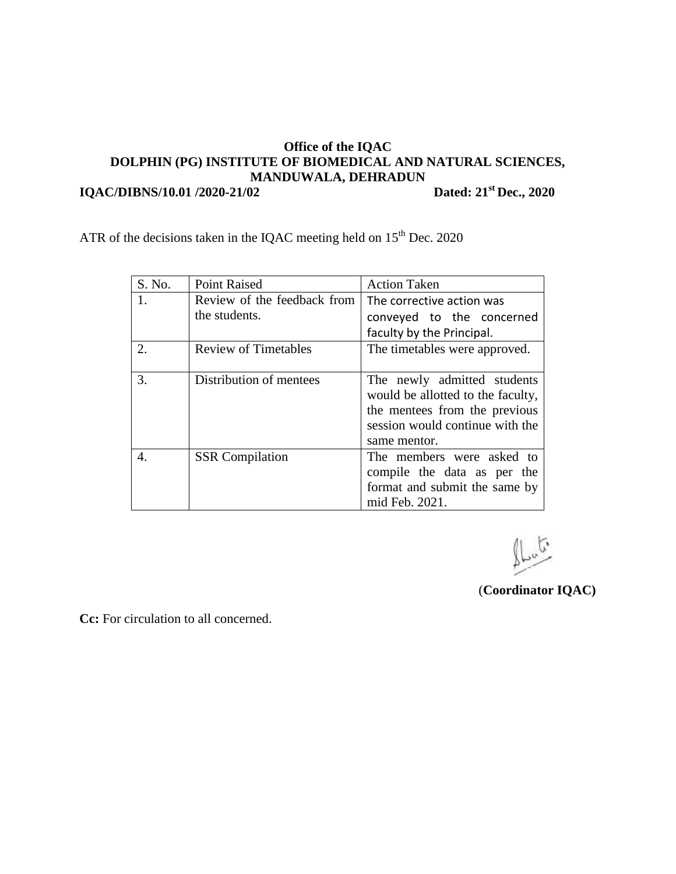**IQAC/DIBNS/10.01 /2020-21/02** Dated: 21<sup>st</sup> Dec., 2020

ATR of the decisions taken in the IQAC meeting held on  $15<sup>th</sup>$  Dec. 2020

| S. No. | <b>Point Raised</b>         | <b>Action Taken</b>               |
|--------|-----------------------------|-----------------------------------|
| 1.     | Review of the feedback from | The corrective action was         |
|        | the students.               | conveyed to the concerned         |
|        |                             | faculty by the Principal.         |
| 2.     | <b>Review of Timetables</b> | The timetables were approved.     |
|        |                             |                                   |
| 3.     | Distribution of mentees     | The newly admitted students       |
|        |                             | would be allotted to the faculty, |
|        |                             | the mentees from the previous     |
|        |                             | session would continue with the   |
|        |                             | same mentor.                      |
| 4.     | <b>SSR</b> Compilation      | The members were asked to         |
|        |                             | compile the data as per the       |
|        |                             | format and submit the same by     |
|        |                             | mid Feb. 2021.                    |

 $\mathbb{L}^{\mathfrak{c}}$ 

(**Coordinator IQAC)**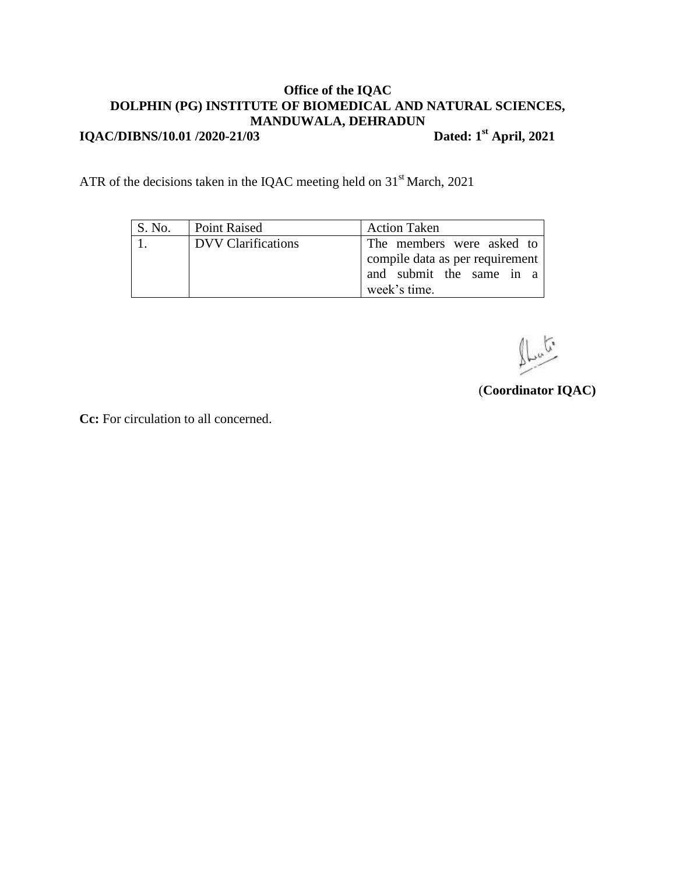**IQAC/DIBNS/10.01 /2020-21/03** 

Dated:  $1<sup>st</sup>$  April, 2021

ATR of the decisions taken in the IQAC meeting held on 31<sup>st</sup> March, 2021

| S. No. | Point Raised              | <b>Action Taken</b>             |
|--------|---------------------------|---------------------------------|
|        | <b>DVV</b> Clarifications | The members were asked to       |
|        |                           | compile data as per requirement |
|        |                           | and submit the same in a        |
|        |                           | week's time.                    |

 $\mathbb{L}^{\sigma}$ 

(**Coordinator IQAC)**